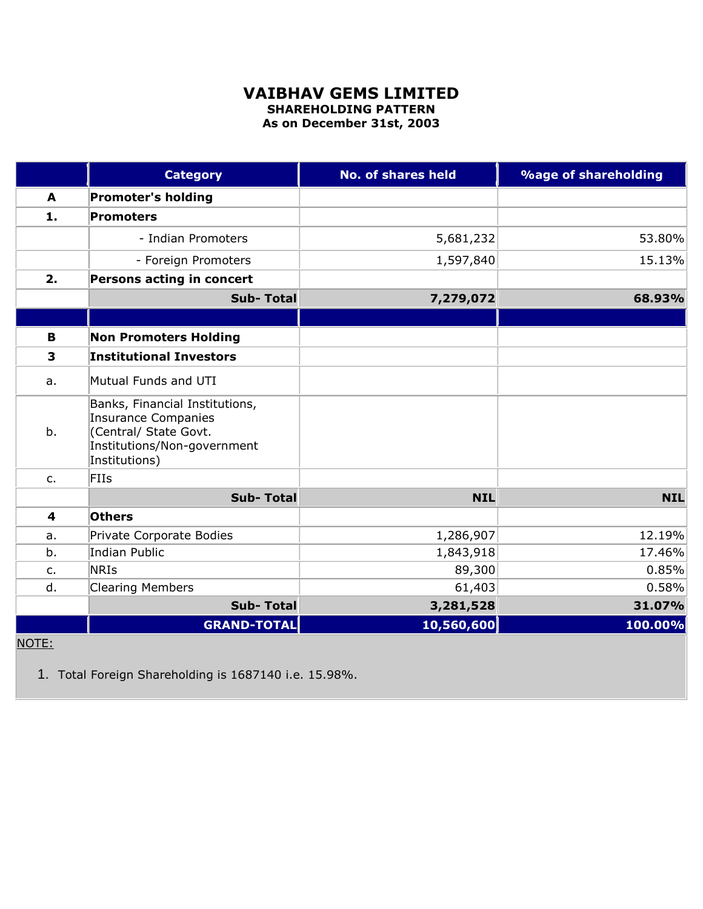## **VAIBHAV GEMS LIMITED SHAREHOLDING PATTERN**

**As on December 31st, 2003**

|               | <b>Category</b>                                                                                                                       | <b>No. of shares held</b> | <b>%age of shareholding</b> |
|---------------|---------------------------------------------------------------------------------------------------------------------------------------|---------------------------|-----------------------------|
| A             | <b>Promoter's holding</b>                                                                                                             |                           |                             |
| 1.            | Promoters                                                                                                                             |                           |                             |
|               | - Indian Promoters                                                                                                                    | 5,681,232                 | 53.80%                      |
|               | - Foreign Promoters                                                                                                                   | 1,597,840                 | 15.13%                      |
| 2.            | Persons acting in concert                                                                                                             |                           |                             |
|               | <b>Sub-Total</b>                                                                                                                      | 7,279,072                 | 68.93%                      |
|               |                                                                                                                                       |                           |                             |
| $\mathbf B$   | <b>Non Promoters Holding</b>                                                                                                          |                           |                             |
| 3             | <b>Institutional Investors</b>                                                                                                        |                           |                             |
| a.            | Mutual Funds and UTI                                                                                                                  |                           |                             |
| b.            | Banks, Financial Institutions,<br><b>Insurance Companies</b><br>(Central/ State Govt.<br>Institutions/Non-government<br>Institutions) |                           |                             |
| $C_{\bullet}$ | <b>FIIs</b>                                                                                                                           |                           |                             |
|               | <b>Sub-Total</b>                                                                                                                      | <b>NIL</b>                | <b>NIL</b>                  |
| 4             | <b>Others</b>                                                                                                                         |                           |                             |
| a.            | Private Corporate Bodies                                                                                                              | 1,286,907                 | 12.19%                      |
| b.            | <b>Indian Public</b>                                                                                                                  | 1,843,918                 | 17.46%                      |
| $C_{1}$       | <b>NRIs</b>                                                                                                                           | 89,300                    | 0.85%                       |
| d.            | <b>Clearing Members</b>                                                                                                               | 61,403                    | 0.58%                       |
|               | <b>Sub-Total</b>                                                                                                                      | 3,281,528                 | 31.07%                      |
|               | <b>GRAND-TOTAL</b>                                                                                                                    | 10,560,600                | 100.00%                     |

## NOTE:

1. Total Foreign Shareholding is 1687140 i.e. 15.98%.